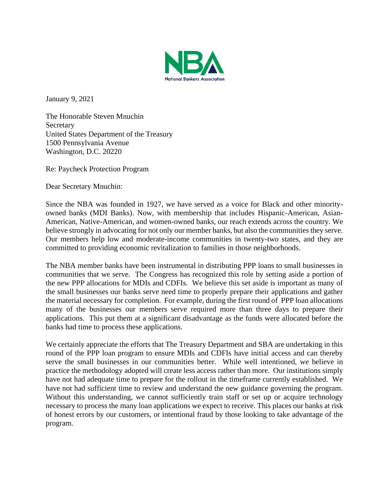

January 9, 2021

The Honorable Steven Mnuchin Secretary United States Department of the Treasury 1500 Pennsylvania Avenue Washington, D.C. 20220

Re: Paycheck Protection Program

Dear Secretary Mnuchin:

Since the NBA was founded in 1927, we have served as a voice for Black and other minorityowned banks (MDI Banks). Now, with membership that includes Hispanic-American, Asian-American, Native-American, and women-owned banks, our reach extends across the country. We believe strongly in advocating for not only our member banks, but also the communities they serve. Our members help low and moderate-income communities in twenty-two states, and they are committed to providing economic revitalization to families in those neighborhoods.

The NBA member banks have been instrumental in distributing PPP loans to small businesses in communities that we serve. The Congress has recognized this role by setting aside a portion of the new PPP allocations for MDIs and CDFIs. We believe this set aside is important as many of the small businesses our banks serve need time to properly prepare their applications and gather the material necessary for completion. For example, during the first round of PPP loan allocations many of the businesses our members serve required more than three days to prepare their applications. This put them at a significant disadvantage as the funds were allocated before the banks had time to process these applications.

We certainly appreciate the efforts that The Treasury Department and SBA are undertaking in this round of the PPP loan program to ensure MDIs and CDFIs have initial access and can thereby serve the small businesses in our communities better. While well intentioned, we believe in practice the methodology adopted will create less access rather than more. Our institutions simply have not had adequate time to prepare for the rollout in the timeframe currently established. We have not had sufficient time to review and understand the new guidance governing the program. Without this understanding, we cannot sufficiently train staff or set up or acquire technology necessary to process the many loan applications we expect to receive. This places our banks at risk of honest errors by our customers, or intentional fraud by those looking to take advantage of the program.